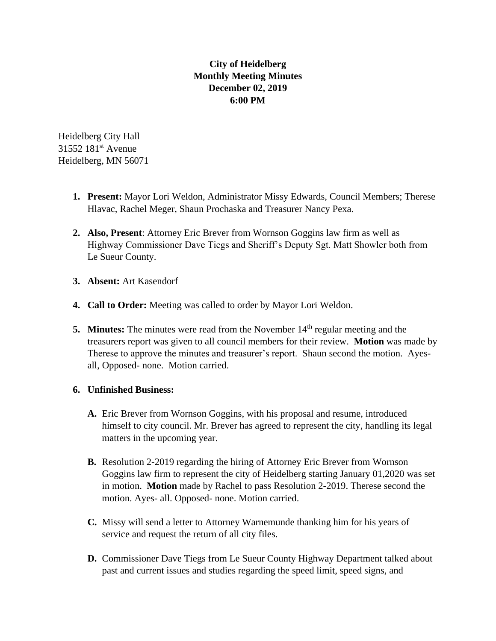## **City of Heidelberg Monthly Meeting Minutes December 02, 2019 6:00 PM**

Heidelberg City Hall 31552 181st Avenue Heidelberg, MN 56071

- **1. Present:** Mayor Lori Weldon, Administrator Missy Edwards, Council Members; Therese Hlavac, Rachel Meger, Shaun Prochaska and Treasurer Nancy Pexa.
- **2. Also, Present**: Attorney Eric Brever from Wornson Goggins law firm as well as Highway Commissioner Dave Tiegs and Sheriff's Deputy Sgt. Matt Showler both from Le Sueur County.
- **3. Absent:** Art Kasendorf
- **4. Call to Order:** Meeting was called to order by Mayor Lori Weldon.
- **5. Minutes:** The minutes were read from the November 14<sup>th</sup> regular meeting and the treasurers report was given to all council members for their review. **Motion** was made by Therese to approve the minutes and treasurer's report. Shaun second the motion. Ayesall, Opposed- none. Motion carried.

## **6. Unfinished Business:**

- **A.** Eric Brever from Wornson Goggins, with his proposal and resume, introduced himself to city council. Mr. Brever has agreed to represent the city, handling its legal matters in the upcoming year.
- **B.** Resolution 2-2019 regarding the hiring of Attorney Eric Brever from Wornson Goggins law firm to represent the city of Heidelberg starting January 01,2020 was set in motion. **Motion** made by Rachel to pass Resolution 2-2019. Therese second the motion. Ayes- all. Opposed- none. Motion carried.
- **C.** Missy will send a letter to Attorney Warnemunde thanking him for his years of service and request the return of all city files.
- **D.** Commissioner Dave Tiegs from Le Sueur County Highway Department talked about past and current issues and studies regarding the speed limit, speed signs, and